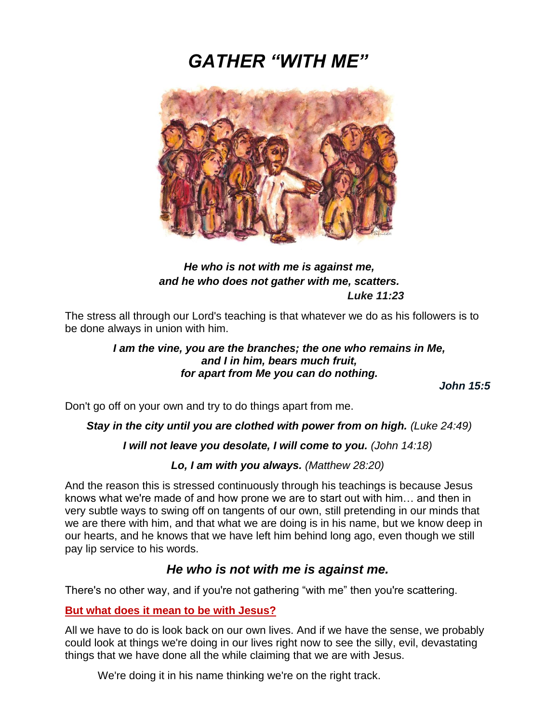# *GATHER "WITH ME"*



# *He who is not with me is against me, and he who does not gather with me, scatters. Luke 11:23*

The stress all through our Lord's teaching is that whatever we do as his followers is to be done always in union with him.

# *I am the vine, you are the branches; the one who remains in Me, and I in him, bears much fruit, for apart from Me you can do nothing.*

*John 15:5*

Don't go off on your own and try to do things apart from me.

# **Stay in the city until you are clothed with power from on high.** *(Luke 24:49)*

# *I will not leave you desolate, I will come to you. (John 14:18)*

# *Lo, I am with you always. (Matthew 28:20)*

And the reason this is stressed continuously through his teachings is because Jesus knows what we're made of and how prone we are to start out with him… and then in very subtle ways to swing off on tangents of our own, still pretending in our minds that we are there with him, and that what we are doing is in his name, but we know deep in our hearts, and he knows that we have left him behind long ago, even though we still pay lip service to his words.

# *He who is not with me is against me.*

There's no other way, and if you're not gathering "with me" then you're scattering.

# **But what does it mean to be with Jesus?**

All we have to do is look back on our own lives. And if we have the sense, we probably could look at things we're doing in our lives right now to see the silly, evil, devastating things that we have done all the while claiming that we are with Jesus.

We're doing it in his name thinking we're on the right track.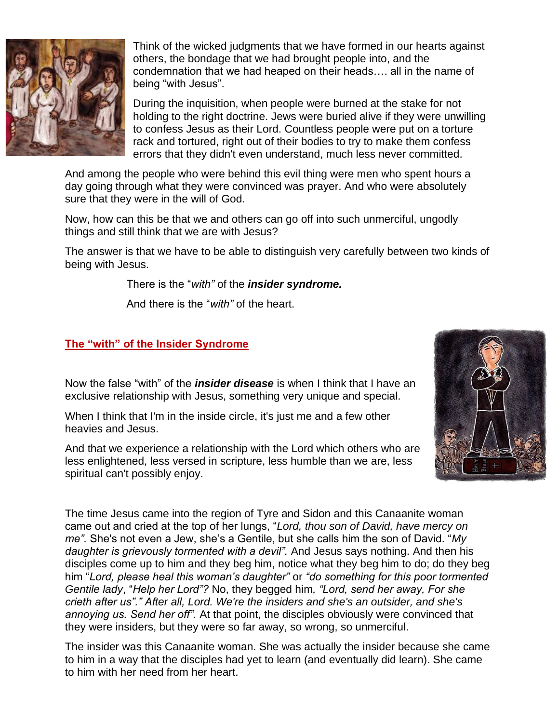

Think of the wicked judgments that we have formed in our hearts against others, the bondage that we had brought people into, and the condemnation that we had heaped on their heads…. all in the name of being "with Jesus".

During the inquisition, when people were burned at the stake for not holding to the right doctrine. Jews were buried alive if they were unwilling to confess Jesus as their Lord. Countless people were put on a torture rack and tortured, right out of their bodies to try to make them confess errors that they didn't even understand, much less never committed.

And among the people who were behind this evil thing were men who spent hours a day going through what they were convinced was prayer. And who were absolutely sure that they were in the will of God.

Now, how can this be that we and others can go off into such unmerciful, ungodly things and still think that we are with Jesus?

The answer is that we have to be able to distinguish very carefully between two kinds of being with Jesus.

There is the "*with"* of the *insider syndrome.*

And there is the "*with"* of the heart.

### **The "with" of the Insider Syndrome**

Now the false "with" of the *insider disease* is when I think that I have an exclusive relationship with Jesus, something very unique and special.

When I think that I'm in the inside circle, it's just me and a few other heavies and Jesus.

And that we experience a relationship with the Lord which others who are less enlightened, less versed in scripture, less humble than we are, less spiritual can't possibly enjoy.



The time Jesus came into the region of Tyre and Sidon and this Canaanite woman came out and cried at the top of her lungs, "*Lord, thou son of David, have mercy on me".* She's not even a Jew, she's a Gentile, but she calls him the son of David. "*My daughter is grievously tormented with a devil".* And Jesus says nothing. And then his disciples come up to him and they beg him, notice what they beg him to do; do they beg him "*Lord, please heal this woman's daughter"* or *"do something for this poor tormented Gentile lady*, "*Help her Lord"?* No, they begged him*, "Lord, send her away, For she crieth after us"." After all, Lord. We're the insiders and she's an outsider, and she's annoying us. Send her off".* At that point, the disciples obviously were convinced that they were insiders, but they were so far away, so wrong, so unmerciful.

The insider was this Canaanite woman. She was actually the insider because she came to him in a way that the disciples had yet to learn (and eventually did learn). She came to him with her need from her heart.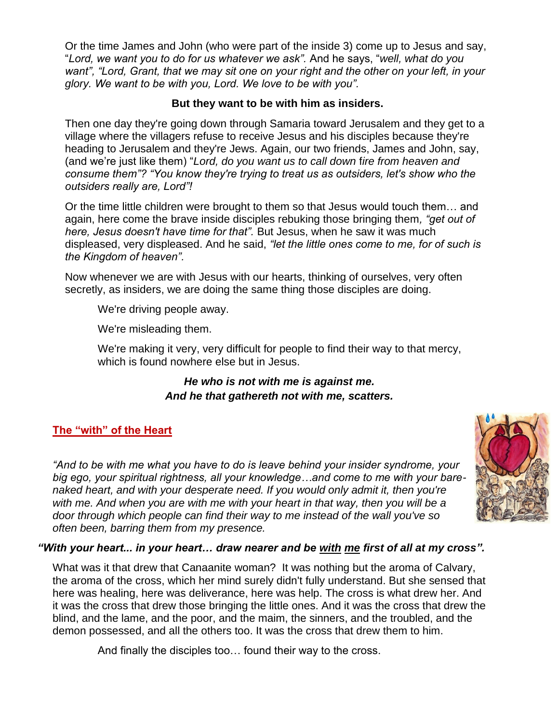Or the time James and John (who were part of the inside 3) come up to Jesus and say, "*Lord, we want you to do for us whatever we ask".* And he says, "*well, what do you*  want", "Lord, Grant, that we may sit one on your right and the other on your left, in your *glory. We want to be with you, Lord. We love to be with you".*

### **But they want to be with him as insiders.**

Then one day they're going down through Samaria toward Jerusalem and they get to a village where the villagers refuse to receive Jesus and his disciples because they're heading to Jerusalem and they're Jews. Again, our two friends, James and John, say, (and we're just like them) "*Lord, do you want us to call down* f*ire from heaven and consume them"? "You know they're trying to treat us as outsiders, let's show who the outsiders really are, Lord"!*

Or the time little children were brought to them so that Jesus would touch them… and again, here come the brave inside disciples rebuking those bringing them*, "get out of here, Jesus doesn't have time for that".* But Jesus, when he saw it was much displeased, very displeased. And he said, *"let the little ones come to me, for of such is the Kingdom of heaven".*

Now whenever we are with Jesus with our hearts, thinking of ourselves, very often secretly, as insiders, we are doing the same thing those disciples are doing.

We're driving people away.

We're misleading them.

We're making it very, very difficult for people to find their way to that mercy, which is found nowhere else but in Jesus.

# *He who is not with me is against me. And he that gathereth not with me, scatters.*

# **The "with" of the Heart**

*"And to be with me what you have to do is leave behind your insider syndrome, your big ego, your spiritual rightness, all your knowledge…and come to me with your barenaked heart, and with your desperate need. If you would only admit it, then you're with me. And when you are with me with your heart in that way, then you will be a door through which people can find their way to me instead of the wall you've so often been, barring them from my presence.*



# *"With your heart... in your heart… draw nearer and be with me first of all at my cross".*

What was it that drew that Canaanite woman? It was nothing but the aroma of Calvary, the aroma of the cross, which her mind surely didn't fully understand. But she sensed that here was healing, here was deliverance, here was help. The cross is what drew her. And it was the cross that drew those bringing the little ones. And it was the cross that drew the blind, and the lame, and the poor, and the maim, the sinners, and the troubled, and the demon possessed, and all the others too. It was the cross that drew them to him.

And finally the disciples too… found their way to the cross.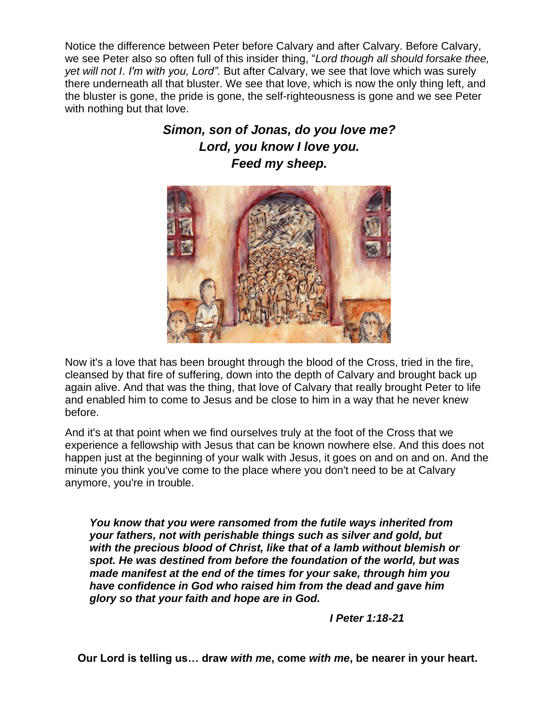Notice the difference between Peter before Calvary and after Calvary. Before Calvary, we see Peter also so often full of this insider thing, "*Lord though all should forsake thee, yet will not I*. *I'm with you, Lord".* But after Calvary, we see that love which was surely there underneath all that bluster. We see that love, which is now the only thing left, and the bluster is gone, the pride is gone, the self-righteousness is gone and we see Peter with nothing but that love.

# *Simon, son of Jonas, do you love me? Lord, you know I love you. Feed my sheep.*



Now it's a love that has been brought through the blood of the Cross, tried in the fire, cleansed by that fire of suffering, down into the depth of Calvary and brought back up again alive. And that was the thing, that love of Calvary that really brought Peter to life and enabled him to come to Jesus and be close to him in a way that he never knew before.

And it's at that point when we find ourselves truly at the foot of the Cross that we experience a fellowship with Jesus that can be known nowhere else. And this does not happen just at the beginning of your walk with Jesus, it goes on and on and on. And the minute you think you've come to the place where you don't need to be at Calvary anymore, you're in trouble.

*You know that you were ransomed from the futile ways inherited from your fathers, not with perishable things such as silver and gold, but with the precious blood of Christ, like that of a lamb without blemish or spot. He was destined from before the foundation of the world, but was made manifest at the end of the times for your sake, through him you have confidence in God who raised him from the dead and gave him glory so that your faith and hope are in God.*

*I Peter 1:18-21*

**Our Lord is telling us… draw** *with me***, come** *with me***, be nearer in your heart.**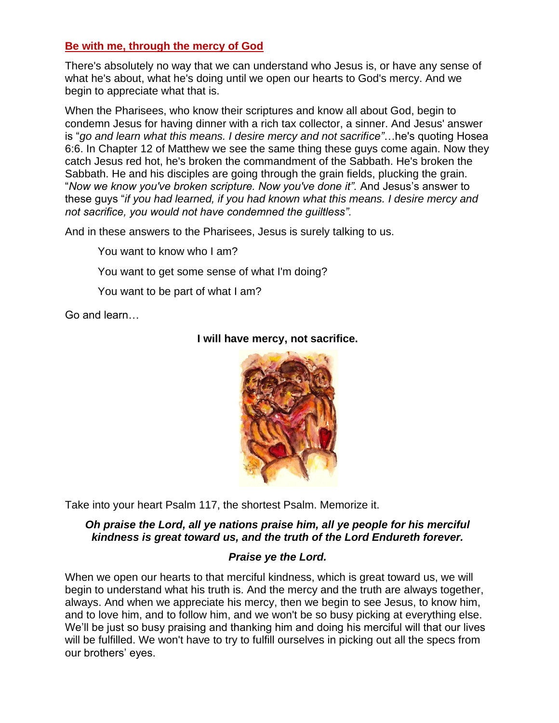### **Be with me, through the mercy of God**

There's absolutely no way that we can understand who Jesus is, or have any sense of what he's about, what he's doing until we open our hearts to God's mercy. And we begin to appreciate what that is.

When the Pharisees, who know their scriptures and know all about God, begin to condemn Jesus for having dinner with a rich tax collector, a sinner. And Jesus' answer is "*go and learn what this means. I desire mercy and not sacrifice"*…he's quoting Hosea 6:6. In Chapter 12 of Matthew we see the same thing these guys come again. Now they catch Jesus red hot, he's broken the commandment of the Sabbath. He's broken the Sabbath. He and his disciples are going through the grain fields, plucking the grain. "*Now we know you've broken scripture. Now you've done it".* And Jesus's answer to these guys "*if you had learned, if you had known what this means. I desire mercy and not sacrifice, you would not have condemned the guiltless".*

And in these answers to the Pharisees, Jesus is surely talking to us.

You want to know who I am?

You want to get some sense of what I'm doing?

You want to be part of what I am?

Go and learn…



### **I will have mercy, not sacrifice.**

Take into your heart Psalm 117, the shortest Psalm. Memorize it.

### *Oh praise the Lord, all ye nations praise him, all ye people for his merciful kindness is great toward us, and the truth of the Lord Endureth forever.*

### *Praise ye the Lord.*

When we open our hearts to that merciful kindness, which is great toward us, we will begin to understand what his truth is. And the mercy and the truth are always together, always. And when we appreciate his mercy, then we begin to see Jesus, to know him, and to love him, and to follow him, and we won't be so busy picking at everything else. We'll be just so busy praising and thanking him and doing his merciful will that our lives will be fulfilled. We won't have to try to fulfill ourselves in picking out all the specs from our brothers' eyes.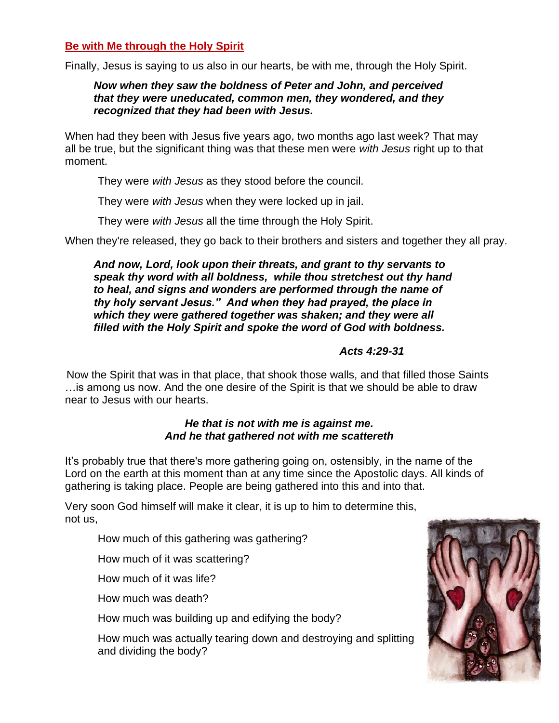### **Be with Me through the Holy Spirit**

Finally, Jesus is saying to us also in our hearts, be with me, through the Holy Spirit.

### *Now when they saw the boldness of Peter and John, and perceived that they were uneducated, common men, they wondered, and they recognized that they had been with Jesus.*

When had they been with Jesus five years ago, two months ago last week? That may all be true, but the significant thing was that these men were *with Jesus* right up to that moment.

They were *with Jesus* as they stood before the council.

They were *with Jesus* when they were locked up in jail.

They were *with Jesus* all the time through the Holy Spirit.

When they're released, they go back to their brothers and sisters and together they all pray.

*And now, Lord, look upon their threats, and grant to thy servants to speak thy word with all boldness, while thou stretchest out thy hand to heal, and signs and wonders are performed through the name of thy holy servant Jesus." And when they had prayed, the place in which they were gathered together was shaken; and they were all filled with the Holy Spirit and spoke the word of God with boldness.*

### *Acts 4:29-31*

Now the Spirit that was in that place, that shook those walls, and that filled those Saints …is among us now. And the one desire of the Spirit is that we should be able to draw near to Jesus with our hearts.

### *He that is not with me is against me. And he that gathered not with me scattereth*

It's probably true that there's more gathering going on, ostensibly, in the name of the Lord on the earth at this moment than at any time since the Apostolic days. All kinds of gathering is taking place. People are being gathered into this and into that.

Very soon God himself will make it clear, it is up to him to determine this, not us,

How much of this gathering was gathering?

How much of it was scattering?

How much of it was life?

How much was death?

How much was building up and edifying the body?

How much was actually tearing down and destroying and splitting and dividing the body?